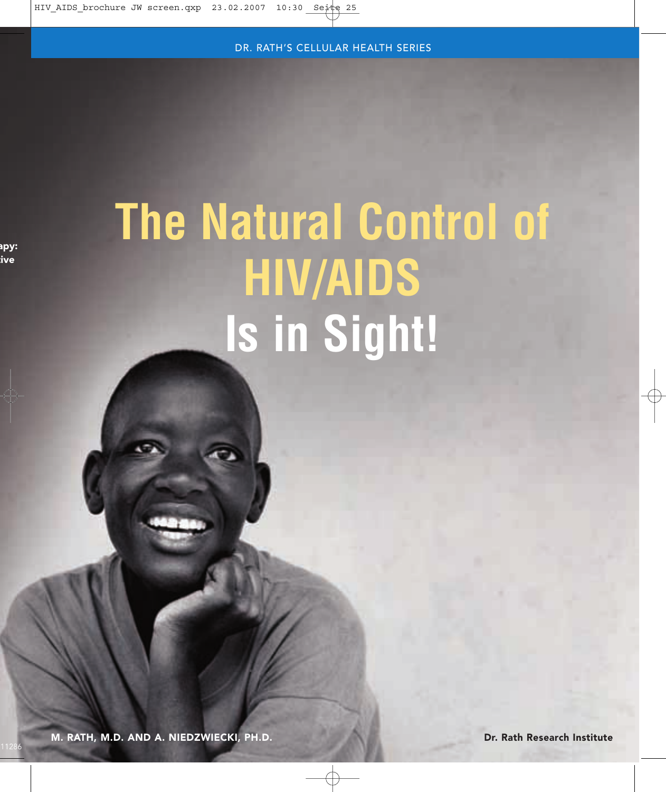# **The Natural Control of HIV/AIDS Is in Sight!**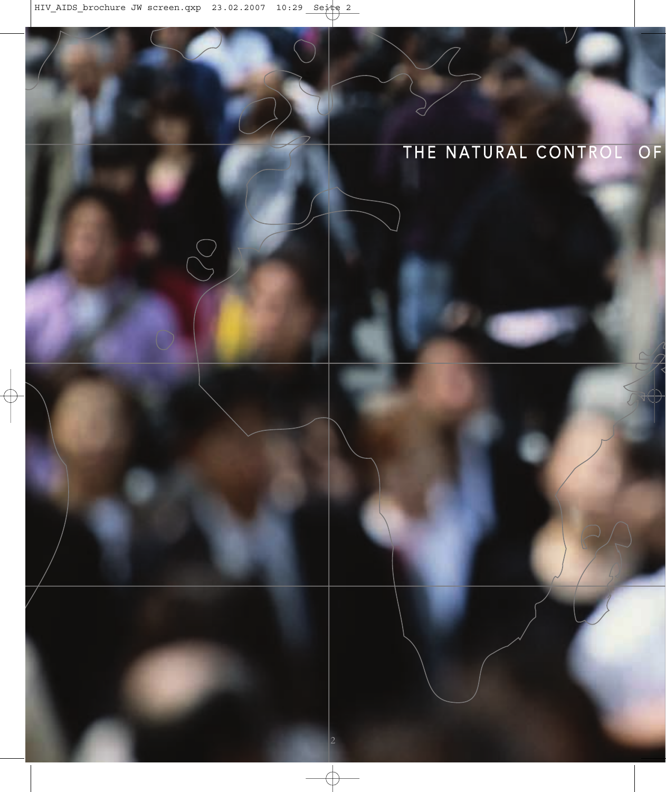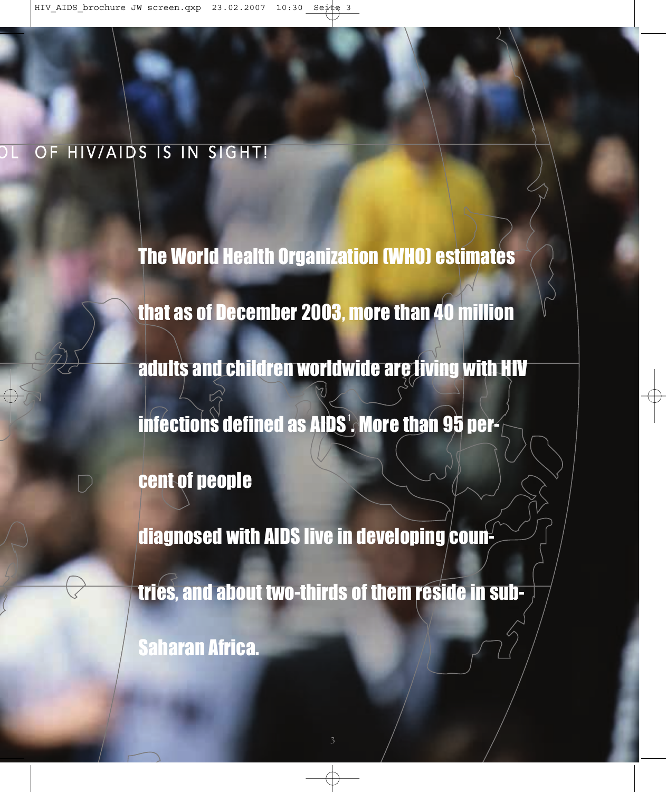### OF HIV/AIDS IS IN SIGHT!

The World Health Organization (WHO) estimates that as of December 2003, more than 40 million adults and children worldwide are living with HIV infections defined as AIDS $^{\circ}$ . More than 95 percent of people diagnosed with AIDS live in developing coun-

tries, and about two-thirds of them reside in sub-

Saharan Africa.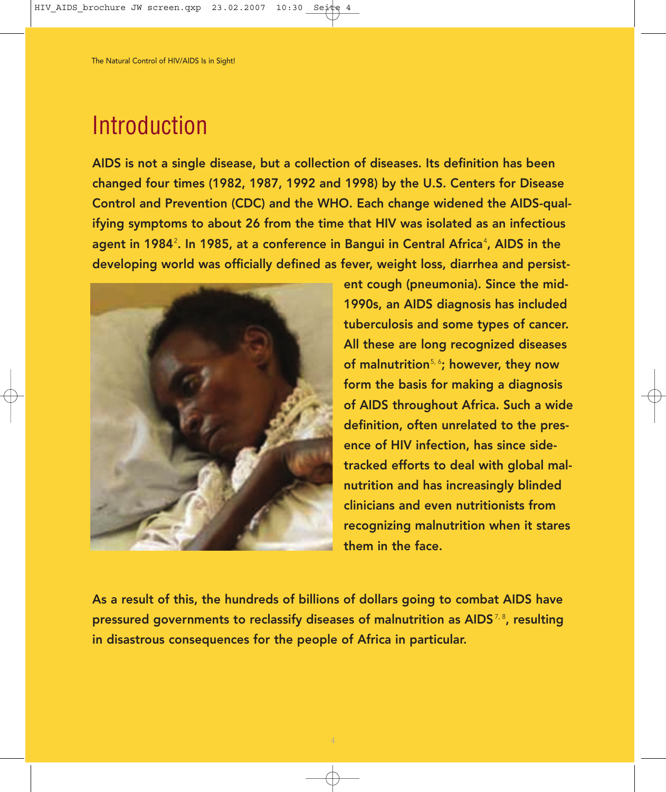### Introduction

AIDS is not a single disease, but a collection of diseases. Its definition has been changed four times (1982, 1987, 1992 and 1998) by the U.S. Centers for Disease Control and Prevention (CDC) and the WHO. Each change widened the AIDS-qualifying symptoms to about 26 from the time that HIV was isolated as an infectious agent in 1984². In 1985, at a conference in Bangui in Central Africaª, AIDS in the developing world was officially defined as fever, weight loss, diarrhea and persist-



ent cough (pneumonia). Since the mid-1990s, an AIDS diagnosis has included tuberculosis and some types of cancer. All these are long recognized diseases of malnutrition<sup>5, 6</sup>; however, they now form the basis for making a diagnosis of AIDS throughout Africa. Such a wide definition, often unrelated to the presence of HIV infection, has since sidetracked efforts to deal with global malnutrition and has increasingly blinded clinicians and even nutritionists from recognizing malnutrition when it stares them in the face.

As a result of this, the hundreds of billions of dollars going to combat AIDS have pressured governments to reclassify diseases of malnutrition as AIDS $^{7,8}$ , resulting in disastrous consequences for the people of Africa in particular.

4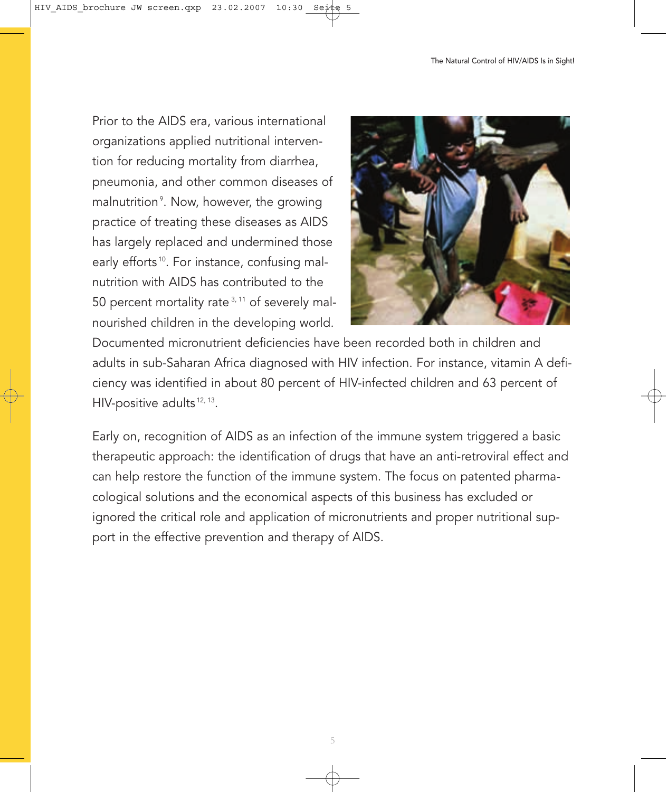Prior to the AIDS era, various international organizations applied nutritional intervention for reducing mortality from diarrhea, pneumonia, and other common diseases of malnutrition°. Now, however, the growing practice of treating these diseases as AIDS has largely replaced and undermined those early efforts<sup>10</sup>. For instance, confusing malnutrition with AIDS has contributed to the 50 percent mortality rate<sup>3, 11</sup> of severely malnourished children in the developing world.



Documented micronutrient deficiencies have been recorded both in children and adults in sub-Saharan Africa diagnosed with HIV infection. For instance, vitamin A deficiency was identified in about 80 percent of HIV-infected children and 63 percent of HIV-positive adults<sup>12, 13</sup>.

Early on, recognition of AIDS as an infection of the immune system triggered a basic therapeutic approach: the identification of drugs that have an anti-retroviral effect and can help restore the function of the immune system. The focus on patented pharmacological solutions and the economical aspects of this business has excluded or ignored the critical role and application of micronutrients and proper nutritional support in the effective prevention and therapy of AIDS.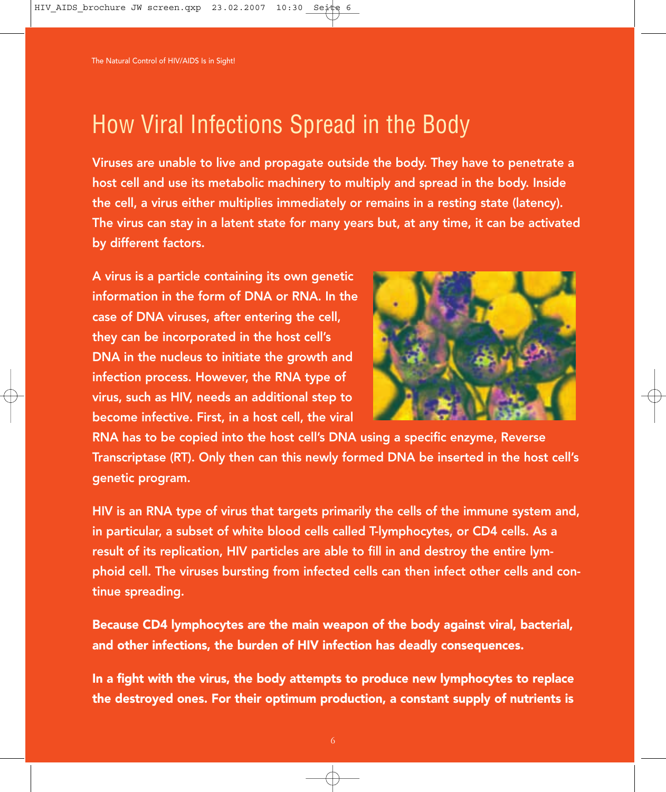### How Viral Infections Spread in the Body

Viruses are unable to live and propagate outside the body. They have to penetrate a host cell and use its metabolic machinery to multiply and spread in the body. Inside the cell, a virus either multiplies immediately or remains in a resting state (latency). The virus can stay in a latent state for many years but, at any time, it can be activated by different factors.

A virus is a particle containing its own genetic information in the form of DNA or RNA. In the case of DNA viruses, after entering the cell, they can be incorporated in the host cell's DNA in the nucleus to initiate the growth and infection process. However, the RNA type of virus, such as HIV, needs an additional step to become infective. First, in a host cell, the viral



RNA has to be copied into the host cell's DNA using a specific enzyme, Reverse Transcriptase (RT). Only then can this newly formed DNA be inserted in the host cell's genetic program.

HIV is an RNA type of virus that targets primarily the cells of the immune system and, in particular, a subset of white blood cells called T-lymphocytes, or CD4 cells. As a result of its replication, HIV particles are able to fill in and destroy the entire lymphoid cell. The viruses bursting from infected cells can then infect other cells and continue spreading.

Because CD4 lymphocytes are the main weapon of the body against viral, bacterial, and other infections, the burden of HIV infection has deadly consequences.

In a fight with the virus, the body attempts to produce new lymphocytes to replace the destroyed ones. For their optimum production, a constant supply of nutrients is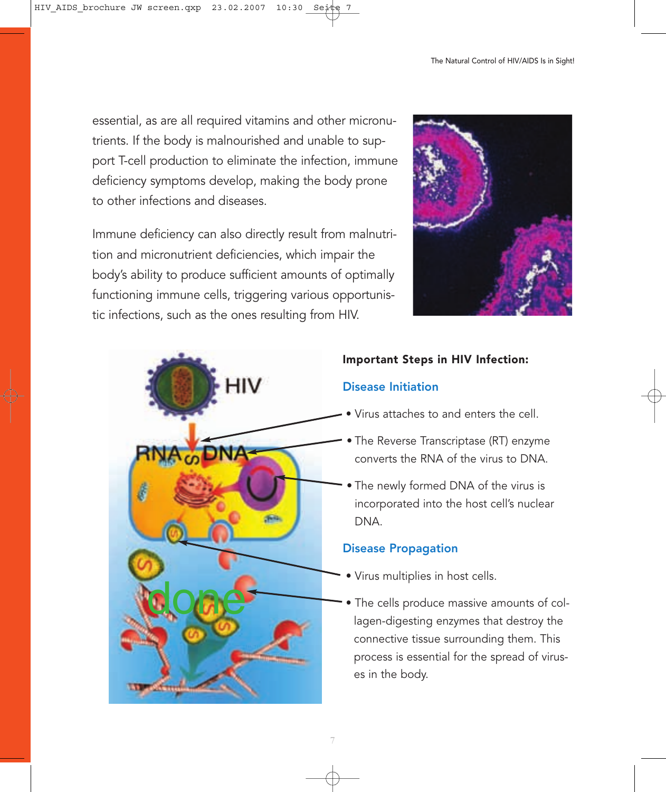essential, as are all required vitamins and other micronutrients. If the body is malnourished and unable to support T-cell production to eliminate the infection, immune deficiency symptoms develop, making the body prone to other infections and diseases.

Immune deficiency can also directly result from malnutrition and micronutrient deficiencies, which impair the body's ability to produce sufficient amounts of optimally functioning immune cells, triggering various opportunistic infections, such as the ones resulting from HIV.





#### Important Steps in HIV Infection:

#### Disease Initiation

- Virus attaches to and enters the cell.
- The Reverse Transcriptase (RT) enzyme converts the RNA of the virus to DNA.
- The newly formed DNA of the virus is incorporated into the host cell's nuclear DNA.

#### Disease Propagation

- Virus multiplies in host cells.
- The cells produce massive amounts of collagen-digesting enzymes that destroy the connective tissue surrounding them. This process is essential for the spread of viruses in the body.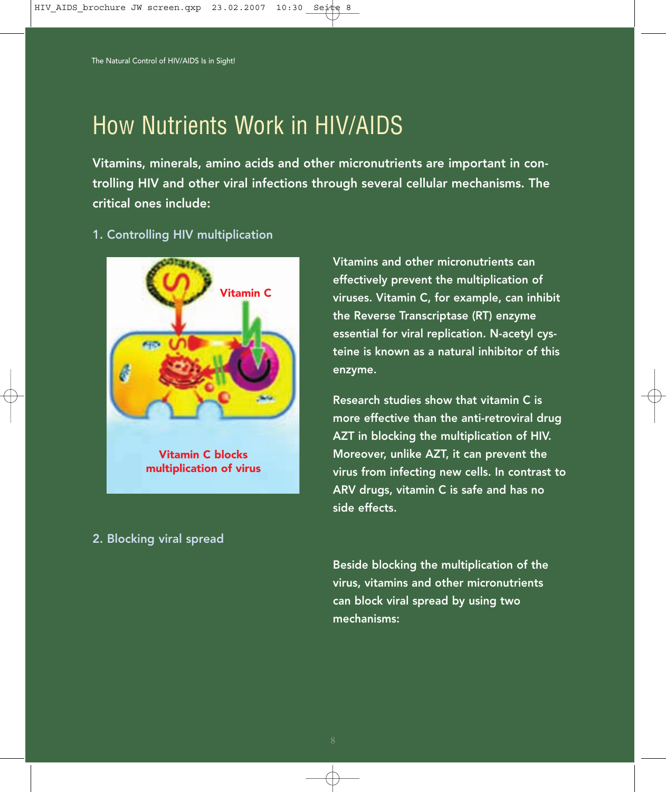### How Nutrients Work in HIV/AIDS

Vitamins, minerals, amino acids and other micronutrients are important in controlling HIV and other viral infections through several cellular mechanisms. The critical ones include:

1. Controlling HIV multiplication



2. Blocking viral spread

Vitamins and other micronutrients can effectively prevent the multiplication of viruses. Vitamin C, for example, can inhibit the Reverse Transcriptase (RT) enzyme essential for viral replication. N-acetyl cysteine is known as a natural inhibitor of this enzyme.

Research studies show that vitamin C is more effective than the anti-retroviral drug AZT in blocking the multiplication of HIV. Moreover, unlike AZT, it can prevent the virus from infecting new cells. In contrast to ARV drugs, vitamin C is safe and has no side effects.

Beside blocking the multiplication of the virus, vitamins and other micronutrients can block viral spread by using two mechanisms: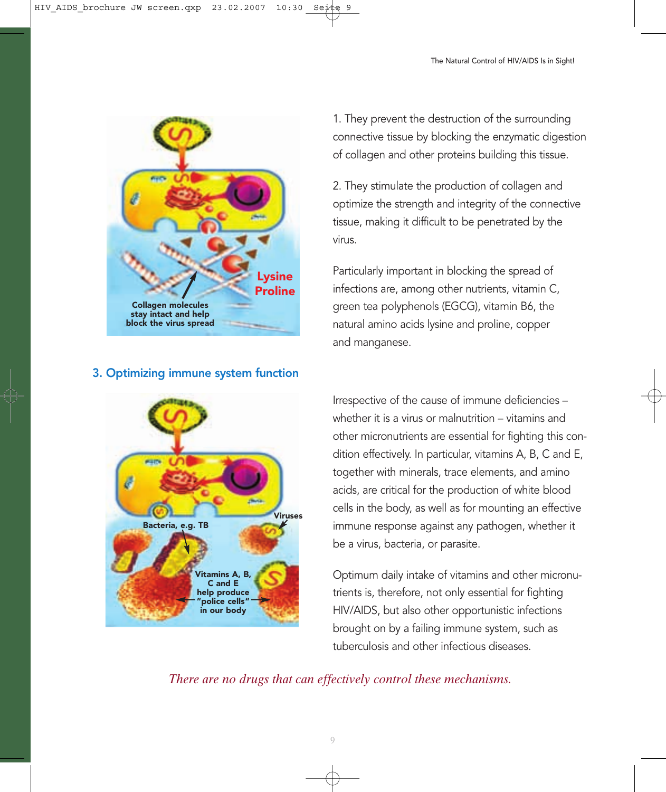![](_page_8_Figure_1.jpeg)

1. They prevent the destruction of the surrounding connective tissue by blocking the enzymatic digestion of collagen and other proteins building this tissue.

2. They stimulate the production of collagen and optimize the strength and integrity of the connective tissue, making it difficult to be penetrated by the virus.

Particularly important in blocking the spread of infections are, among other nutrients, vitamin C, green tea polyphenols (EGCG), vitamin B6, the natural amino acids lysine and proline, copper and manganese.

![](_page_8_Figure_6.jpeg)

Irrespective of the cause of immune deficiencies – whether it is a virus or malnutrition – vitamins and other micronutrients are essential for fighting this condition effectively. In particular, vitamins A, B, C and E, together with minerals, trace elements, and amino acids, are critical for the production of white blood cells in the body, as well as for mounting an effective immune response against any pathogen, whether it be a virus, bacteria, or parasite.

Optimum daily intake of vitamins and other micronutrients is, therefore, not only essential for fighting HIV/AIDS, but also other opportunistic infections brought on by a failing immune system, such as tuberculosis and other infectious diseases.

*There are no drugs that can effectively control these mechanisms.* 

#### 3. Optimizing immune system function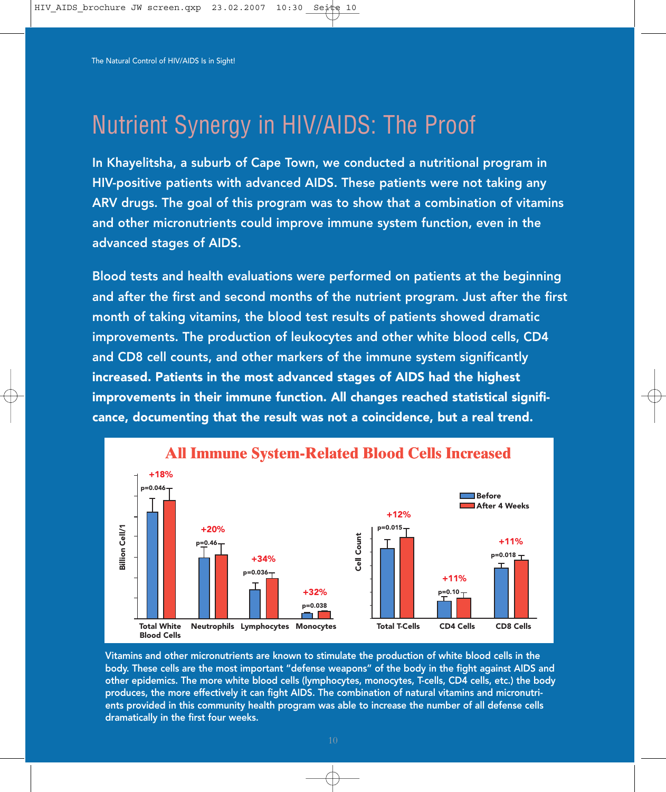## Nutrient Synergy in HIV/AIDS: The Proof

In Khayelitsha, a suburb of Cape Town, we conducted a nutritional program in HIV-positive patients with advanced AIDS. These patients were not taking any ARV drugs. The goal of this program was to show that a combination of vitamins and other micronutrients could improve immune system function, even in the advanced stages of AIDS.

Blood tests and health evaluations were performed on patients at the beginning and after the first and second months of the nutrient program. Just after the first month of taking vitamins, the blood test results of patients showed dramatic improvements. The production of leukocytes and other white blood cells, CD4 and CD8 cell counts, and other markers of the immune system significantly increased. Patients in the most advanced stages of AIDS had the highest improvements in their immune function. All changes reached statistical significance, documenting that the result was not a coincidence, but a real trend.

![](_page_9_Figure_4.jpeg)

Vitamins and other micronutrients are known to stimulate the production of white blood cells in the body. These cells are the most important "defense weapons" of the body in the fight against AIDS and other epidemics. The more white blood cells (lymphocytes, monocytes, T-cells, CD4 cells, etc.) the body produces, the more effectively it can fight AIDS. The combination of natural vitamins and micronutrients provided in this community health program was able to increase the number of all defense cells dramatically in the first four weeks.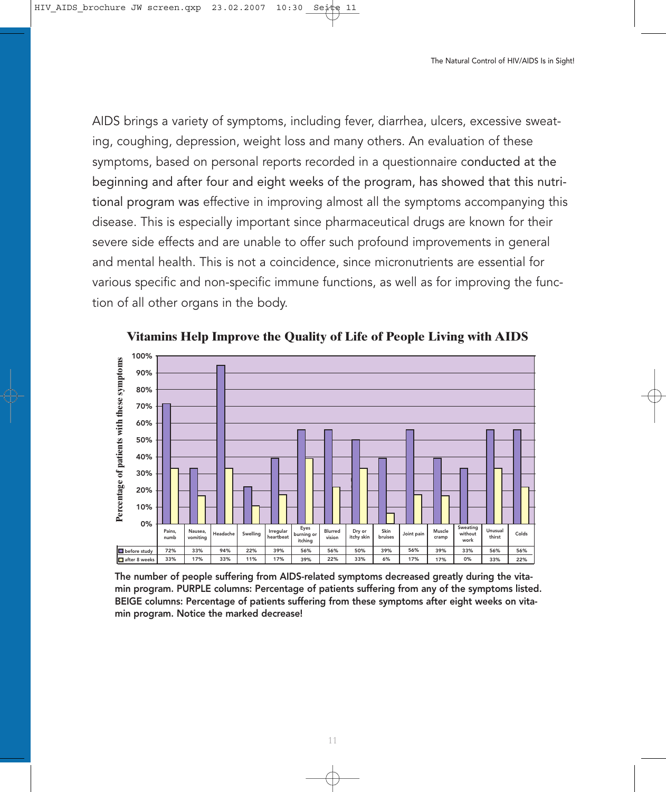AIDS brings a variety of symptoms, including fever, diarrhea, ulcers, excessive sweating, coughing, depression, weight loss and many others. An evaluation of these symptoms, based on personal reports recorded in a questionnaire conducted at the beginning and after four and eight weeks of the program, has showed that this nutritional program was effective in improving almost all the symptoms accompanying this disease. This is especially important since pharmaceutical drugs are known for their severe side effects and are unable to offer such profound improvements in general and mental health. This is not a coincidence, since micronutrients are essential for various specific and non-specific immune functions, as well as for improving the function of all other organs in the body.

![](_page_10_Figure_2.jpeg)

![](_page_10_Figure_3.jpeg)

The number of people suffering from AIDS-related symptoms decreased greatly during the vitamin program. PURPLE columns: Percentage of patients suffering from any of the symptoms listed. BEIGE columns: Percentage of patients suffering from these symptoms after eight weeks on vitamin program. Notice the marked decrease!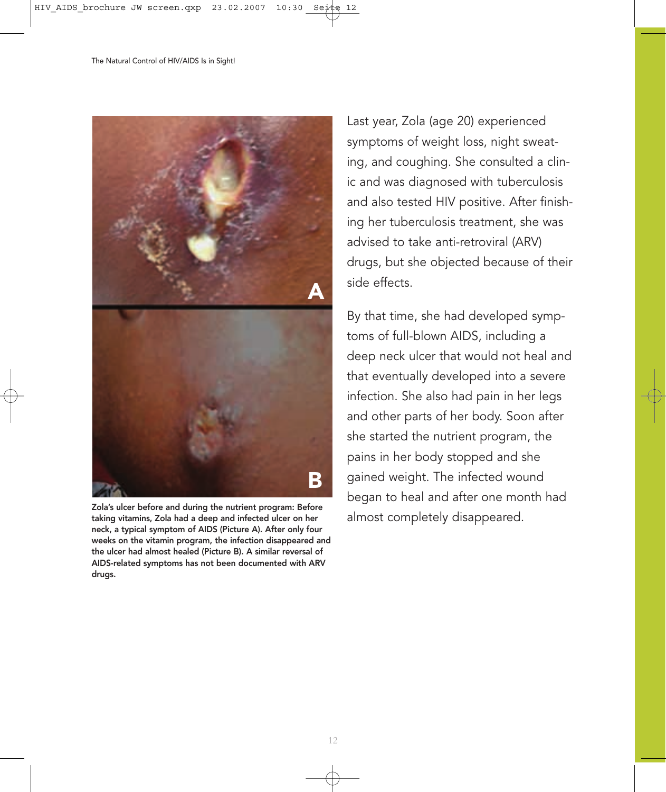![](_page_11_Picture_1.jpeg)

Zola's ulcer before and during the nutrient program: Before<br>taking vitamins, Zola had a deep and infected ulcer on her almost completely disappeared. taking vitamins, Zola had a deep and infected ulcer on her neck, a typical symptom of AIDS (Picture A). After only four weeks on the vitamin program, the infection disappeared and the ulcer had almost healed (Picture B). A similar reversal of AIDS-related symptoms has not been documented with ARV drugs.

Last year, Zola (age 20) experienced symptoms of weight loss, night sweating, and coughing. She consulted a clinic and was diagnosed with tuberculosis and also tested HIV positive. After finishing her tuberculosis treatment, she was advised to take anti-retroviral (ARV) drugs, but she objected because of their side effects.

By that time, she had developed symptoms of full-blown AIDS, including a deep neck ulcer that would not heal and that eventually developed into a severe infection. She also had pain in her legs and other parts of her body. Soon after she started the nutrient program, the pains in her body stopped and she gained weight. The infected wound began to heal and after one month had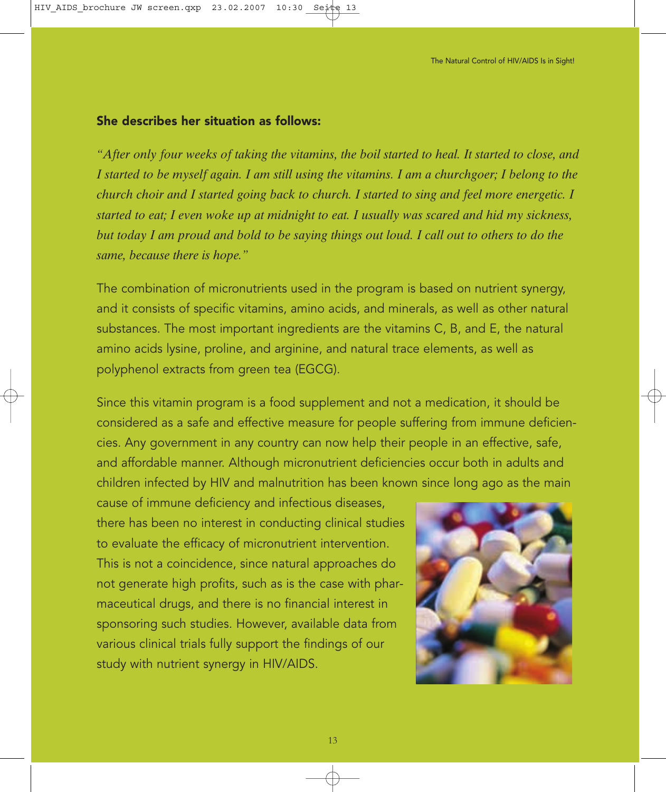#### She describes her situation as follows:

*"After only four weeks of taking the vitamins, the boil started to heal. It started to close, and I started to be myself again. I am still using the vitamins. I am a churchgoer; I belong to the church choir and I started going back to church. I started to sing and feel more energetic. I started to eat; I even woke up at midnight to eat. I usually was scared and hid my sickness, but today I am proud and bold to be saying things out loud. I call out to others to do the same, because there is hope."*

The combination of micronutrients used in the program is based on nutrient synergy, and it consists of specific vitamins, amino acids, and minerals, as well as other natural substances. The most important ingredients are the vitamins C, B, and E, the natural amino acids lysine, proline, and arginine, and natural trace elements, as well as polyphenol extracts from green tea (EGCG).

Since this vitamin program is a food supplement and not a medication, it should be considered as a safe and effective measure for people suffering from immune deficiencies. Any government in any country can now help their people in an effective, safe, and affordable manner. Although micronutrient deficiencies occur both in adults and children infected by HIV and malnutrition has been known since long ago as the main

cause of immune deficiency and infectious diseases, there has been no interest in conducting clinical studies to evaluate the efficacy of micronutrient intervention. This is not a coincidence, since natural approaches do not generate high profits, such as is the case with pharmaceutical drugs, and there is no financial interest in sponsoring such studies. However, available data from various clinical trials fully support the findings of our study with nutrient synergy in HIV/AIDS.

![](_page_12_Picture_6.jpeg)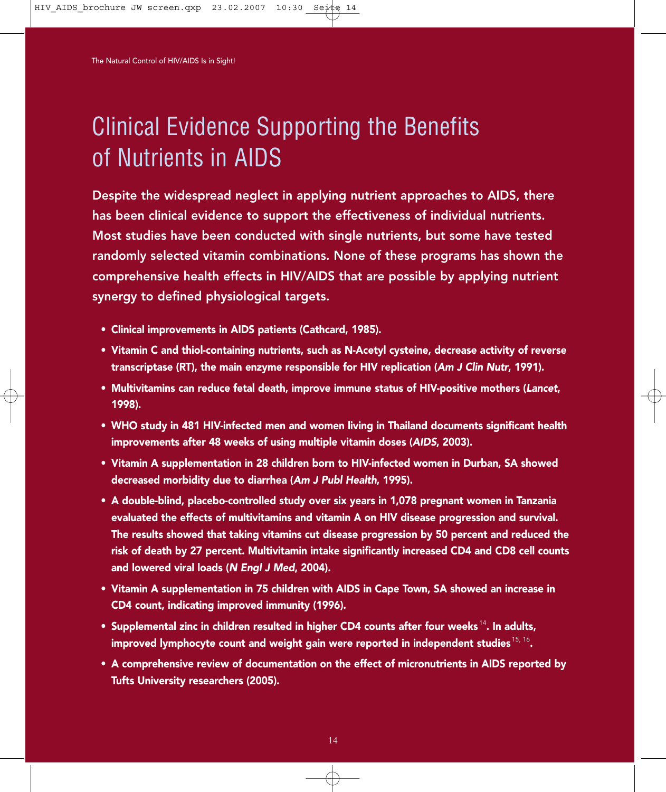## Clinical Evidence Supporting the Benefits of Nutrients in AIDS

Despite the widespread neglect in applying nutrient approaches to AIDS, there has been clinical evidence to support the effectiveness of individual nutrients. Most studies have been conducted with single nutrients, but some have tested randomly selected vitamin combinations. None of these programs has shown the comprehensive health effects in HIV/AIDS that are possible by applying nutrient synergy to defined physiological targets.

- Clinical improvements in AIDS patients (Cathcard, 1985).
- Vitamin C and thiol-containing nutrients, such as N-Acetyl cysteine, decrease activity of reverse transcriptase (RT), the main enzyme responsible for HIV replication (Am J Clin Nutr, 1991).
- Multivitamins can reduce fetal death, improve immune status of HIV-positive mothers (Lancet, 1998).
- WHO study in 481 HIV-infected men and women living in Thailand documents significant health improvements after 48 weeks of using multiple vitamin doses (AIDS, 2003).
- Vitamin A supplementation in 28 children born to HIV-infected women in Durban, SA showed decreased morbidity due to diarrhea (Am J Publ Health, 1995).
- A double-blind, placebo-controlled study over six years in 1,078 pregnant women in Tanzania evaluated the effects of multivitamins and vitamin A on HIV disease progression and survival. The results showed that taking vitamins cut disease progression by 50 percent and reduced the risk of death by 27 percent. Multivitamin intake significantly increased CD4 and CD8 cell counts and lowered viral loads (N Engl J Med, 2004).
- Vitamin A supplementation in 75 children with AIDS in Cape Town, SA showed an increase in CD4 count, indicating improved immunity (1996).
- Supplemental zinc in children resulted in higher CD4 counts after four weeks  $14$ . In adults, improved lymphocyte count and weight gain were reported in independent studies  $^{15, 16}$ .
- A comprehensive review of documentation on the effect of micronutrients in AIDS reported by Tufts University researchers (2005).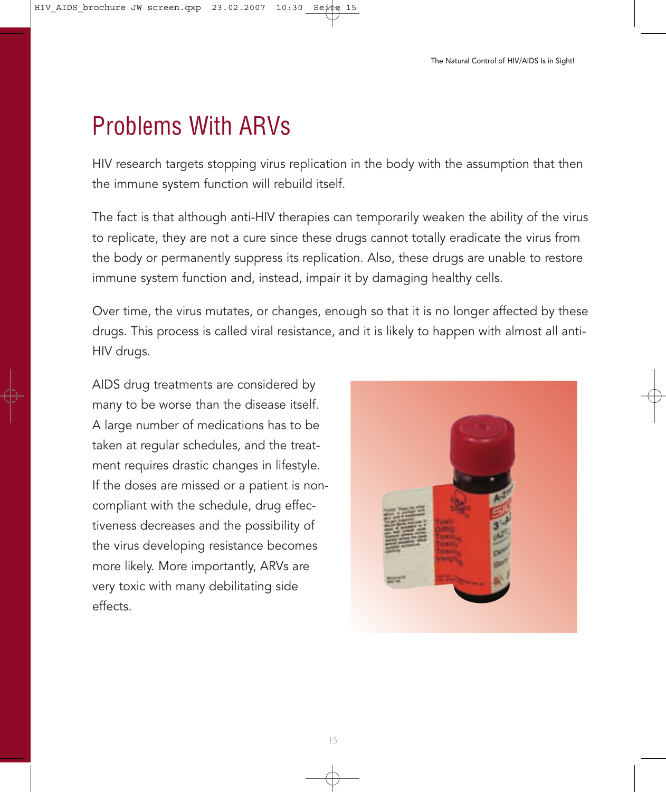### Problems With ARVs

HIV research targets stopping virus replication in the body with the assumption that then the immune system function will rebuild itself.

The fact is that although anti-HIV therapies can temporarily weaken the ability of the virus to replicate, they are not a cure since these drugs cannot totally eradicate the virus from the body or permanently suppress its replication. Also, these drugs are unable to restore immune system function and, instead, impair it by damaging healthy cells.

Over time, the virus mutates, or changes, enough so that it is no longer affected by these drugs. This process is called viral resistance, and it is likely to happen with almost all anti-HIV drugs.

AIDS drug treatments are considered by many to be worse than the disease itself. A large number of medications has to be taken at regular schedules, and the treatment requires drastic changes in lifestyle. If the doses are missed or a patient is noncompliant with the schedule, drug effectiveness decreases and the possibility of the virus developing resistance becomes more likely. More importantly, ARVs are very toxic with many debilitating side effects.

![](_page_14_Picture_6.jpeg)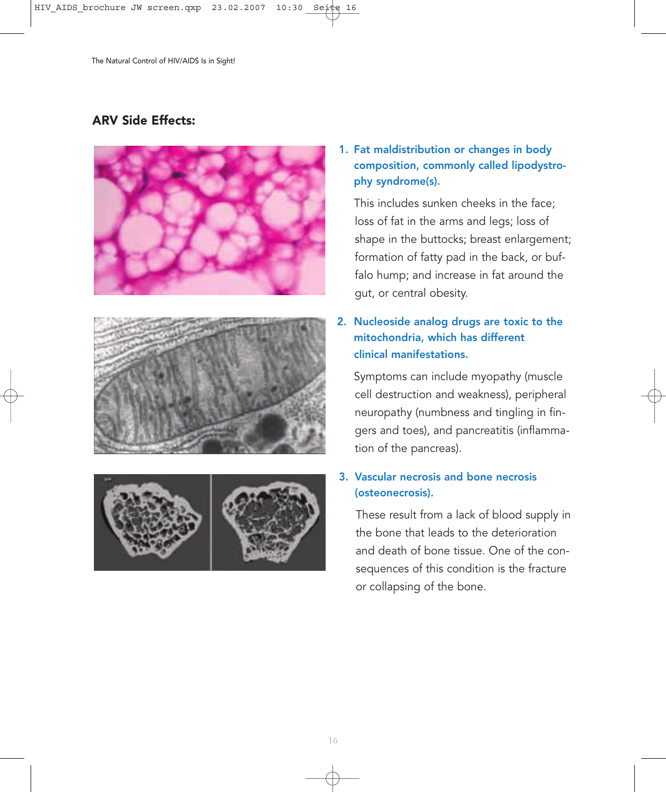### ARV Side Effects:

![](_page_15_Picture_2.jpeg)

![](_page_15_Picture_3.jpeg)

![](_page_15_Picture_4.jpeg)

1. Fat maldistribution or changes in body composition, commonly called lipodystrophy syndrome(s).

This includes sunken cheeks in the face; loss of fat in the arms and legs; loss of shape in the buttocks; breast enlargement; formation of fatty pad in the back, or buffalo hump; and increase in fat around the gut, or central obesity.

#### 2. Nucleoside analog drugs are toxic to the mitochondria, which has different clinical manifestations.

Symptoms can include myopathy (muscle cell destruction and weakness), peripheral neuropathy (numbness and tingling in fingers and toes), and pancreatitis (inflammation of the pancreas).

#### 3. Vascular necrosis and bone necrosis (osteonecrosis).

These result from a lack of blood supply in the bone that leads to the deterioration and death of bone tissue. One of the consequences of this condition is the fracture or collapsing of the bone.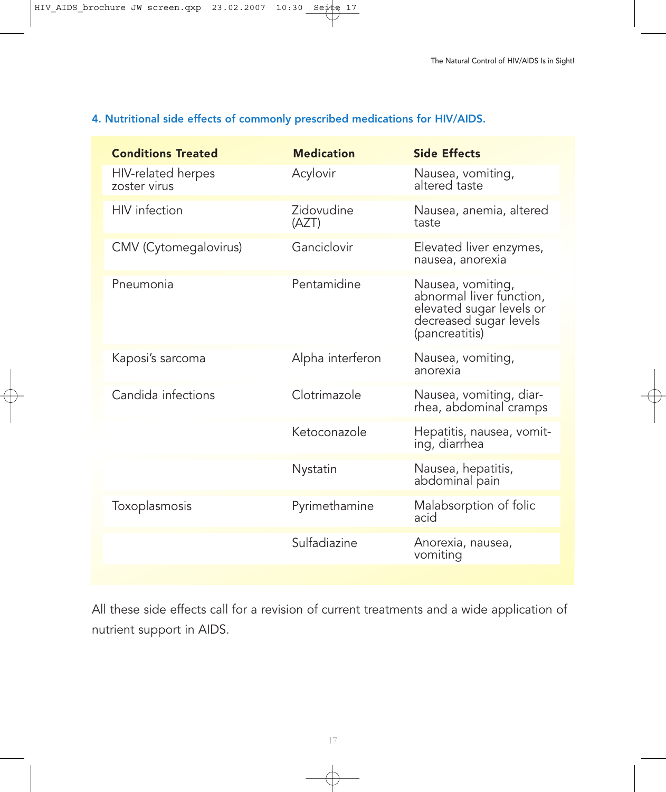#### 4. Nutritional side effects of commonly prescribed medications for HIV/AIDS.

| <b>Conditions Treated</b>          | <b>Medication</b>   | <b>Side Effects</b>                                                                                                   |
|------------------------------------|---------------------|-----------------------------------------------------------------------------------------------------------------------|
| HIV-related herpes<br>zoster virus | Acylovir            | Nausea, vomiting,<br>altered taste                                                                                    |
| <b>HIV</b> infection               | Zidovudine<br>(AZT) | Nausea, anemia, altered<br>taste                                                                                      |
| CMV (Cytomegalovirus)              | Ganciclovir         | Elevated liver enzymes,<br>nausea, anorexia                                                                           |
| Pneumonia                          | Pentamidine         | Nausea, vomiting,<br>abnormal liver function,<br>elevated sugar levels or<br>decreased sugar levels<br>(pancreatitis) |
| Kaposi's sarcoma                   | Alpha interferon    | Nausea, vomiting,<br>anorexia                                                                                         |
| Candida infections                 | Clotrimazole        | Nausea, vomiting, diar-<br>rhea, abdominal cramps                                                                     |
|                                    | Ketoconazole        | Hepatitis, nausea, vomit-<br>ing, diarrhea                                                                            |
|                                    | Nystatin            | Nausea, hepatitis,<br>abdominal pain                                                                                  |
| Toxoplasmosis                      | Pyrimethamine       | Malabsorption of folic<br>acid                                                                                        |
|                                    | Sulfadiazine        | Anorexia, nausea,<br>vomiting                                                                                         |

All these side effects call for a revision of current treatments and a wide application of nutrient support in AIDS.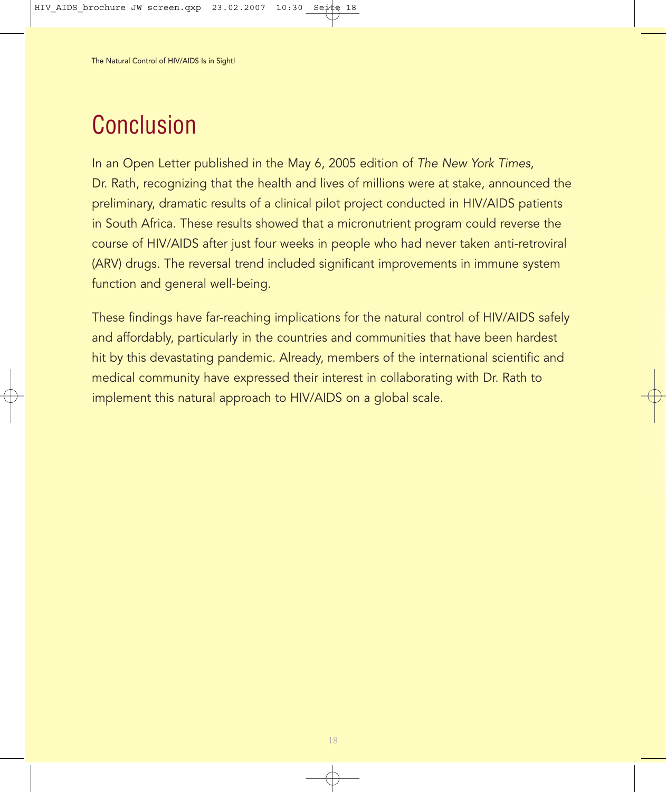## Conclusion

In an Open Letter published in the May 6, 2005 edition of The New York Times, Dr. Rath, recognizing that the health and lives of millions were at stake, announced the preliminary, dramatic results of a clinical pilot project conducted in HIV/AIDS patients in South Africa. These results showed that a micronutrient program could reverse the course of HIV/AIDS after just four weeks in people who had never taken anti-retroviral (ARV) drugs. The reversal trend included significant improvements in immune system function and general well-being.

These findings have far-reaching implications for the natural control of HIV/AIDS safely and affordably, particularly in the countries and communities that have been hardest hit by this devastating pandemic. Already, members of the international scientific and medical community have expressed their interest in collaborating with Dr. Rath to implement this natural approach to HIV/AIDS on a global scale.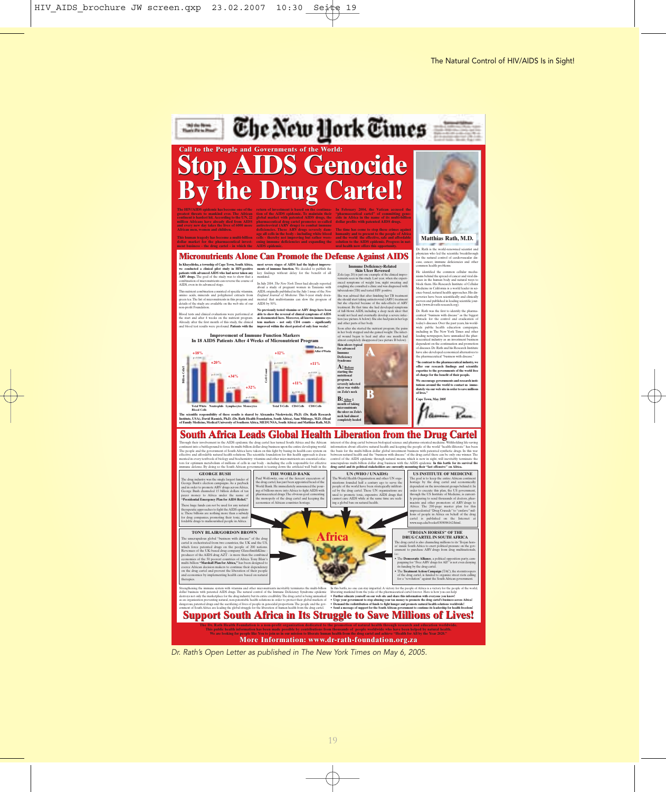![](_page_18_Picture_1.jpeg)

**More Information: www.dr-rath-foundation.org.za** 

Dr. Rath's Open Letter as published in The New York Times on May 6, 2005.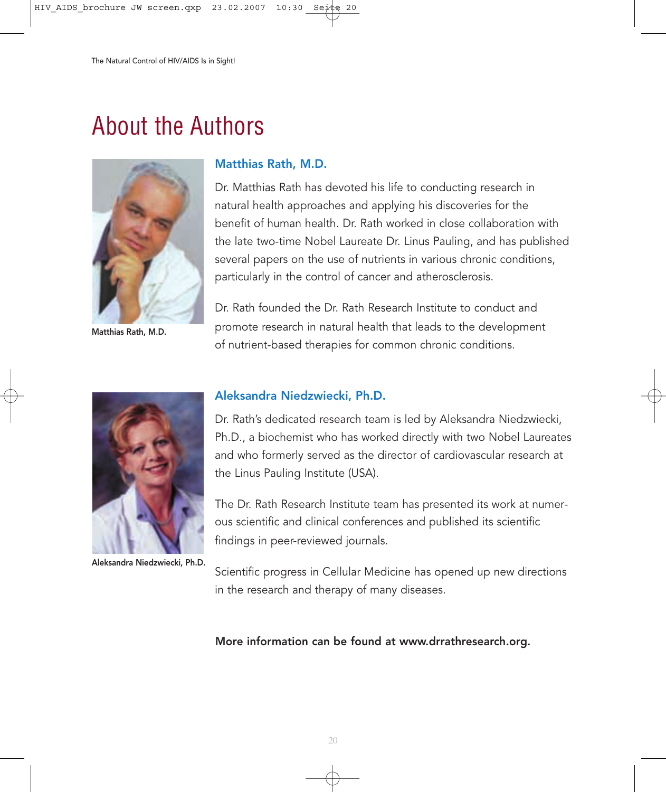### About the Authors

![](_page_19_Picture_2.jpeg)

Matthias Rath, M.D.

#### Matthias Rath, M.D.

Dr. Matthias Rath has devoted his life to conducting research in natural health approaches and applying his discoveries for the benefit of human health. Dr. Rath worked in close collaboration with the late two-time Nobel Laureate Dr. Linus Pauling, and has published several papers on the use of nutrients in various chronic conditions, particularly in the control of cancer and atherosclerosis.

Dr. Rath founded the Dr. Rath Research Institute to conduct and promote research in natural health that leads to the development of nutrient-based therapies for common chronic conditions.

![](_page_19_Picture_7.jpeg)

Aleksandra Niedzwiecki, Ph.D.

#### Aleksandra Niedzwiecki, Ph.D.

Dr. Rath's dedicated research team is led by Aleksandra Niedzwiecki, Ph.D., a biochemist who has worked directly with two Nobel Laureates and who formerly served as the director of cardiovascular research at the Linus Pauling Institute (USA).

The Dr. Rath Research Institute team has presented its work at numerous scientific and clinical conferences and published its scientific findings in peer-reviewed journals.

Scientific progress in Cellular Medicine has opened up new directions in the research and therapy of many diseases.

#### More information can be found at www.drrathresearch.org.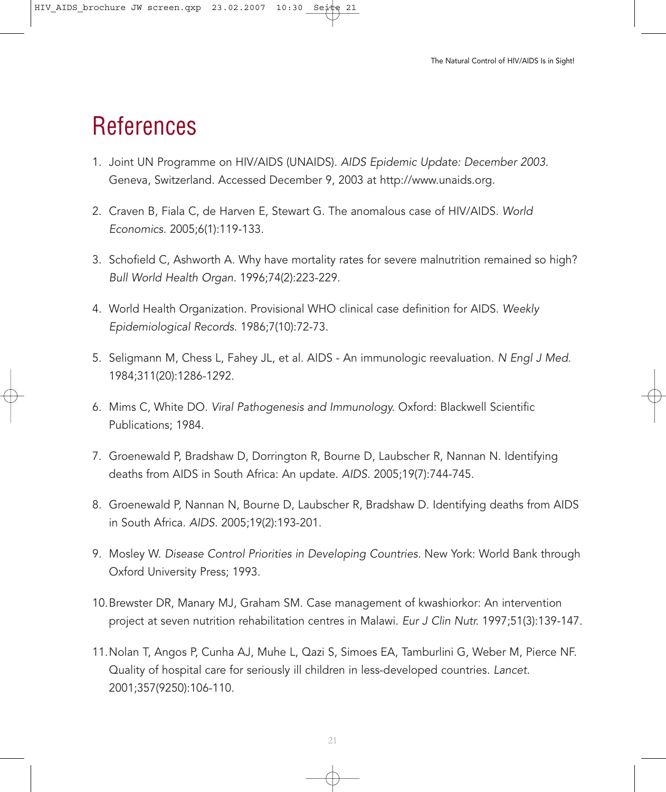### References

- 1. Joint UN Programme on HIV/AIDS (UNAIDS). AIDS Epidemic Update: December 2003. Geneva, Switzerland. Accessed December 9, 2003 at http://www.unaids.org.
- 2. Craven B, Fiala C, de Harven E, Stewart G. The anomalous case of HIV/AIDS. World Economics. 2005;6(1):119-133.
- 3. Schofield C, Ashworth A. Why have mortality rates for severe malnutrition remained so high? Bull World Health Organ. 1996;74(2):223-229.
- 4. World Health Organization. Provisional WHO clinical case definition for AIDS. Weekly Epidemiological Records. 1986;7(10):72-73.
- 5. Seligmann M, Chess L, Fahey JL, et al. AIDS An immunologic reevaluation. N Engl J Med. 1984;311(20):1286-1292.
- 6. Mims C, White DO. Viral Pathogenesis and Immunology. Oxford: Blackwell Scientific Publications; 1984.
- 7. Groenewald P, Bradshaw D, Dorrington R, Bourne D, Laubscher R, Nannan N. Identifying deaths from AIDS in South Africa: An update. AIDS. 2005;19(7):744-745.
- 8. Groenewald P, Nannan N, Bourne D, Laubscher R, Bradshaw D. Identifying deaths from AIDS in South Africa. AIDS. 2005;19(2):193-201.
- 9. Mosley W. Disease Control Priorities in Developing Countries. New York: World Bank through Oxford University Press; 1993.
- 10.Brewster DR, Manary MJ, Graham SM. Case management of kwashiorkor: An intervention project at seven nutrition rehabilitation centres in Malawi. Eur J Clin Nutr. 1997;51(3):139-147.
- 11.Nolan T, Angos P, Cunha AJ, Muhe L, Qazi S, Simoes EA, Tamburlini G, Weber M, Pierce NF. Quality of hospital care for seriously ill children in less-developed countries. Lancet. 2001;357(9250):106-110.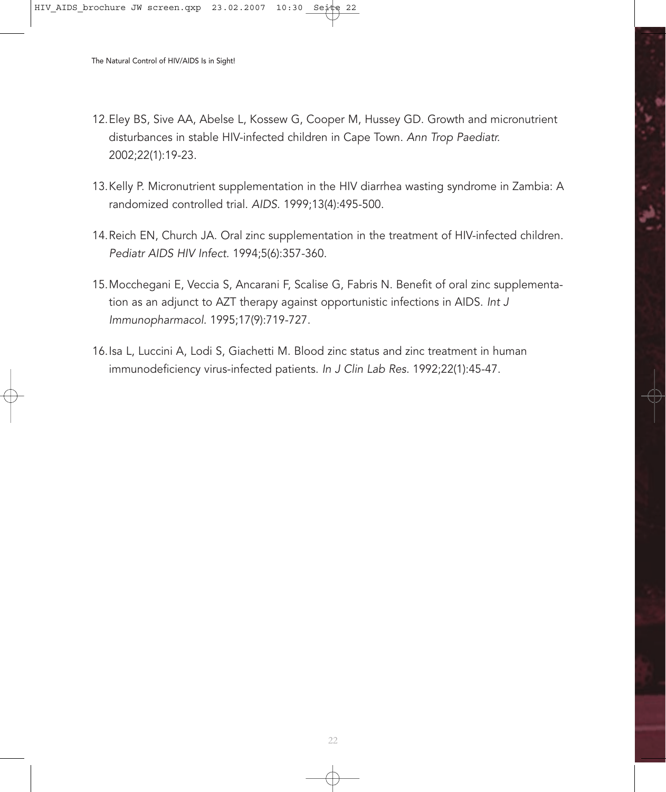- 12.Eley BS, Sive AA, Abelse L, Kossew G, Cooper M, Hussey GD. Growth and micronutrient disturbances in stable HIV-infected children in Cape Town. Ann Trop Paediatr. 2002;22(1):19-23.
- 13.Kelly P. Micronutrient supplementation in the HIV diarrhea wasting syndrome in Zambia: A randomized controlled trial. AIDS. 1999;13(4):495-500.
- 14.Reich EN, Church JA. Oral zinc supplementation in the treatment of HIV-infected children. Pediatr AIDS HIV Infect. 1994;5(6):357-360.
- 15.Mocchegani E, Veccia S, Ancarani F, Scalise G, Fabris N. Benefit of oral zinc supplementation as an adjunct to AZT therapy against opportunistic infections in AIDS. Int J Immunopharmacol. 1995;17(9):719-727.
- 16.Isa L, Luccini A, Lodi S, Giachetti M. Blood zinc status and zinc treatment in human immunodeficiency virus-infected patients. In J Clin Lab Res. 1992;22(1):45-47.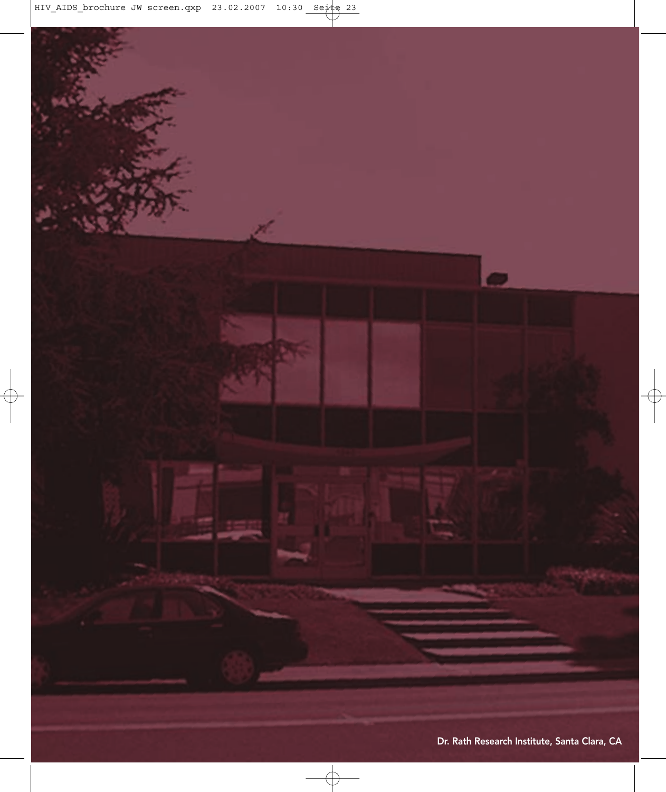![](_page_22_Picture_0.jpeg)